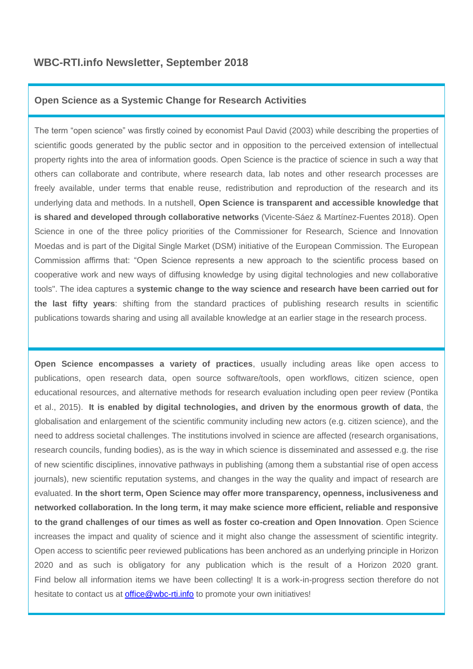# **Open Science as a Systemic Change for Research Activities**

The term "open science" was firstly coined by economist Paul David (2003) while describing the properties of scientific goods generated by the public sector and in opposition to the perceived extension of intellectual property rights into the area of information goods. Open Science is the practice of science in such a way that others can collaborate and contribute, where research data, lab notes and other research processes are freely available, under terms that enable reuse, redistribution and reproduction of the research and its underlying data and methods. In a nutshell, **Open Science is transparent and accessible knowledge that is shared and developed through collaborative networks** (Vicente-Sáez & Martínez-Fuentes 2018). Open Science in one of the three policy priorities of the Commissioner for Research, Science and Innovation Moedas and is part of the Digital Single Market (DSM) initiative of the European Commission. The European Commission affirms that: "Open Science represents a new approach to the scientific process based on cooperative work and new ways of diffusing knowledge by using digital technologies and new collaborative tools". The idea captures a **systemic change to the way science and research have been carried out for the last fifty years**: shifting from the standard practices of publishing research results in scientific publications towards sharing and using all available knowledge at an earlier stage in the research process.

**Open Science encompasses a variety of practices**, usually including areas like open access to publications, open research data, open source software/tools, open workflows, citizen science, open educational resources, and alternative methods for research evaluation including open peer review (Pontika et al., 2015). **It is enabled by digital technologies, and driven by the enormous growth of data**, the globalisation and enlargement of the scientific community including new actors (e.g. citizen science), and the need to address societal challenges. The institutions involved in science are affected (research organisations, research councils, funding bodies), as is the way in which science is disseminated and assessed e.g. the rise of new scientific disciplines, innovative pathways in publishing (among them a substantial rise of open access journals), new scientific reputation systems, and changes in the way the quality and impact of research are evaluated. **In the short term, Open Science may offer more transparency, openness, inclusiveness and networked collaboration. In the long term, it may make science more efficient, reliable and responsive to the grand challenges of our times as well as foster co-creation and Open Innovation**. Open Science increases the impact and quality of science and it might also change the assessment of scientific integrity. Open access to scientific peer reviewed publications has been anchored as an underlying principle in Horizon 2020 and as such is obligatory for any publication which is the result of a Horizon 2020 grant. Find below all information items we have been collecting! It is a work-in-progress section therefore do not hesitate to contact us at [office@wbc-rti.info](file:///C:/Users/Desiree%20Pecarz/Desktop/WBC-RTI_INFO/04.%20Newsletter/2018/09.%20September%202018_Open%20Science/office@wbc-rti.info) to promote your own initiatives!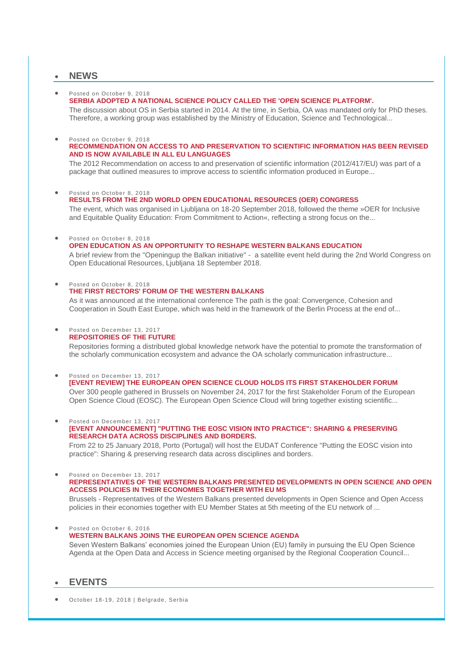# **NEWS**

 Posted on October 9, 2018 **[SERBIA ADOPTED A NATIONAL SCIENCE POLICY CALLED THE 'OPEN SCIENCE PLATFORM'.](https://wbc-rti.info/object/news/17906)**

The discussion about OS in Serbia started in 2014. At the time, in Serbia, OA was mandated only for PhD theses. Therefore, a working group was established by the Ministry of Education, Science and Technological...

# Posted on October 9, 2018

# **[RECOMMENDATION ON ACCESS TO AND PRESERVATION TO SCIENTIFIC INFORMATION HAS BEEN REVISED](https://wbc-rti.info/object/news/17896)  [AND IS NOW AVAILABLE IN ALL EU LANGUAGES](https://wbc-rti.info/object/news/17896)**

The 2012 Recommendation on access to and preservation of scientific information (2012/417/EU) was part of a package that outlined measures to improve access to scientific information produced in Europe...

#### Posted on October 8, 2018

# **[RESULTS FROM THE 2ND WORLD OPEN EDUCATIONAL RESOURCES \(OER\) CONGRESS](https://wbc-rti.info/object/news/17862)**

The event, which was organised in Ljubljana on 18-20 September 2018, followed the theme »OER for Inclusive and Equitable Quality Education: From Commitment to Action«, reflecting a strong focus on the...

Posted on October 8, 2018

# **[OPEN EDUCATION AS AN OPPORTUNITY TO RESHAPE WESTERN BALKANS EDUCATION](https://wbc-rti.info/object/news/17861)**

A brief review from the "Openingup the Balkan initiative" - a satellite event held during the 2nd World Congress on Open Educational Resources, Ljubljana 18 September 2018.

 Posted on October 8, 2018 **[THE FIRST RECTORS' FORUM OF THE WESTERN BALKANS](https://wbc-rti.info/object/news/17854)**

As it was announced at the international conference The path is the goal: Convergence, Cohesion and Cooperation in South East Europe, which was held in the framework of the Berlin Process at the end of...

#### Posted on December 13, 2017 **REPOSITORIES [OF THE FUTURE](https://wbc-rti.info/object/news/16704)**

Repositories forming a distributed global knowledge network have the potential to promote the transformation of the scholarly communication ecosystem and advance the OA scholarly communication infrastructure...

 Posted on December 13, 2017 **[\[EVENT REVIEW\] THE EUROPEAN OPEN SCIENCE CLOUD HOLDS ITS FIRST STAKEHOLDER FORUM](https://wbc-rti.info/object/news/16694)**  Over 300 people gathered in Brussels on November 24, 2017 for the first Stakeholder Forum of the European Open Science Cloud (EOSC). The European Open Science Cloud will bring together existing scientific...

Posted on December 13, 2017

## **[\[EVENT ANNOUNCEMENT\] "PUTTING THE EOSC VISION INTO PRACTICE": SHARING & PRESERVING](https://wbc-rti.info/object/news/16685)  [RESEARCH DATA ACROSS DISCIPLINES AND BORDERS.](https://wbc-rti.info/object/news/16685)**

From 22 to 25 January 2018, Porto (Portugal) will host the EUDAT Conference "Putting the EOSC vision into practice": Sharing & preserving research data across disciplines and borders.

 Posted on December 13, 2017 **[REPRESENTATIVES OF THE WESTERN BALKANS PRESENTED DEVELOPMENTS IN OPEN SCIENCE AND OPEN](https://wbc-rti.info/object/news/16678)** 

**[ACCESS POLICIES IN THEIR ECONOMIES TOGETHER WITH EU MS](https://wbc-rti.info/object/news/16678)** Brussels - Representatives of the Western Balkans presented developments in Open Science and Open Access

policies in their economies together with EU Member States at 5th meeting of the EU network of ... Posted on October 6, 2016

Agenda at the Open Data and Access in Science meeting organised by the Regional Cooperation Council...

**[WESTERN BALKANS JOINS THE EUROPEAN OPEN SCIENCE AGENDA](https://wbc-rti.info/object/news/15395)** Seven Western Balkans' economies joined the European Union (EU) family in pursuing the EU Open Science

# **EVENTS**

October 18-19, 2018 | Belgrade, Serbia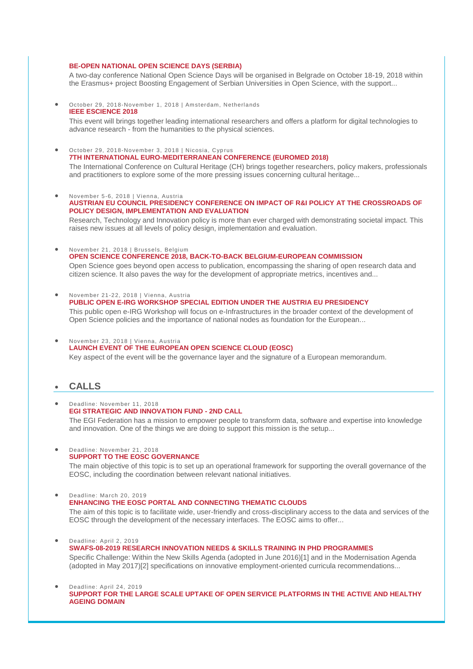### **[BE-OPEN NATIONAL OPEN SCIENCE DAYS \(SERBIA\)](https://wbc-rti.info/object/event/18019)**

A two-day conference National Open Science Days will be organised in Belgrade on October 18-19, 2018 within the Erasmus+ project Boosting Engagement of Serbian Universities in Open Science, with the support...

 October 29, 2018-November 1, 2018 | Amsterdam, Netherlands **[IEEE ESCIENCE 2018](https://wbc-rti.info/object/event/17903)**

This event will brings together leading international researchers and offers a platform for digital technologies to advance research - from the humanities to the physical sciences.

- October 29, 2018-November 3, 2018 | Nicosia, Cyprus **[7TH INTERNATIONAL EURO-MEDITERRANEAN CONFERENCE \(EUROMED 2018\)](https://wbc-rti.info/object/event/17918)** The International Conference on Cultural Heritage (CH) brings together researchers, policy makers, professionals and practitioners to explore some of the more pressing issues concerning cultural heritage...
- November 5-6, 2018 | Vienna, Austria
- **[AUSTRIAN EU COUNCIL PRESIDENCY CONFERENCE ON IMPACT OF R&I POLICY AT THE CROSSROADS OF](https://wbc-rti.info/object/event/16839)  [POLICY DESIGN, IMPLEMENTATION AND EVALUATION](https://wbc-rti.info/object/event/16839)**

Research, Technology and Innovation policy is more than ever charged with demonstrating societal impact. This raises new issues at all levels of policy design, implementation and evaluation.

- November 21, 2018 | Brussels, Belgium **[OPEN SCIENCE CONFERENCE 2018, BACK-TO-BACK BELGIUM-EUROPEAN COMMISSION](https://wbc-rti.info/object/event/17850)** Open Science goes beyond open access to publication, encompassing the sharing of open research data and citizen science. It also paves the way for the development of appropriate metrics, incentives and...
- November 21-22, 2018 | Vienna, Austria **[PUBLIC OPEN E-IRG WORKSHOP SPECIAL EDITION UNDER THE AUSTRIA EU PRESIDENCY](https://wbc-rti.info/object/event/17904)**

This public open e-IRG Workshop will focus on e-Infrastructures in the broader context of the development of Open Science policies and the importance of national nodes as foundation for the European...

- November 23, 2018 | Vienna, Austria
	- **[LAUNCH EVENT OF THE EUROPEAN OPEN SCIENCE CLOUD \(EOSC\)](https://wbc-rti.info/object/event/17902)**

Key aspect of the event will be the governance layer and the signature of a European memorandum.

# **CALLS**

- Deadline: November 11, 2018 **[EGI STRATEGIC AND INNOVATION FUND -](https://wbc-rti.info/object/call/17966) 2ND CALL**  The EGI Federation has a mission to empower people to transform data, software and expertise into knowledge and innovation. One of the things we are doing to support this mission is the setup...
- Deadline: November 21, 2018 **[SUPPORT TO THE EOSC GOVERNANCE](https://wbc-rti.info/object/call/17988)**

The main objective of this topic is to set up an operational framework for supporting the overall governance of the EOSC, including the coordination between relevant national initiatives.

- Deadline: March 20, 2019
	- **[ENHANCING THE EOSC PORTAL AND CONNECTING THEMATIC CLOUDS](https://wbc-rti.info/object/call/17989)**

The aim of this topic is to facilitate wide, user-friendly and cross-disciplinary access to the data and services of the EOSC through the development of the necessary interfaces. The EOSC aims to offer...

- Deadline: April 2, 2019 **[SWAFS-08-2019 RESEARCH INNOVATION NEEDS & SKILLS TRAINING IN PHD PROGRAMMES](https://wbc-rti.info/object/call/16621)**  Specific Challenge: Within the New Skills Agenda (adopted in June 2016)[1] and in the Modernisation Agenda (adopted in May 2017)[2] specifications on innovative employment-oriented curricula recommendations...
- Deadline: April 24, 2019 **[SUPPORT FOR THE LARGE SCALE UPTAKE OF OPEN SERVICE](https://wbc-rti.info/object/call/17454) PLATFORMS IN THE ACTIVE AND HEALTHY [AGEING DOMAIN](https://wbc-rti.info/object/call/17454)**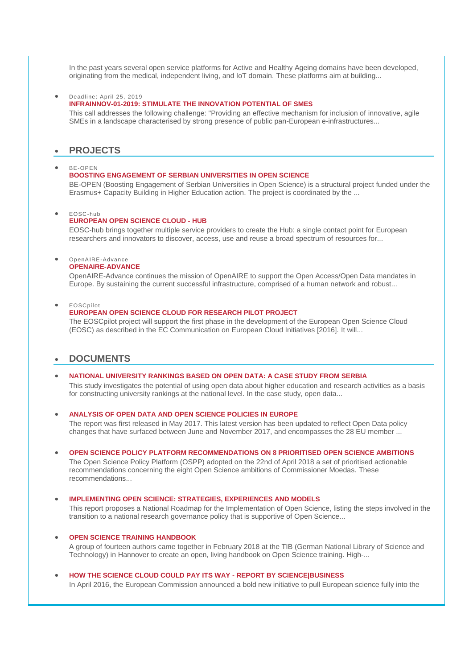In the past years several open service platforms for Active and Healthy Ageing domains have been developed, originating from the medical, independent living, and IoT domain. These platforms aim at building...

Deadline: April 25, 2019

#### **[INFRAINNOV-01-2019: STIMULATE THE INNOVATION POTENTIAL OF SMES](https://wbc-rti.info/object/call/17987)**

This call addresses the following challenge: "Providing an effective mechanism for inclusion of innovative, agile SMEs in a landscape characterised by strong presence of public pan-European e-infrastructures...

# **PROJECTS**

#### BE-OPEN

#### **[BOOSTING ENGAGEMENT OF SERBIAN UNIVERSITIES IN OPEN SCIENCE](https://wbc-rti.info/object/project/18018)**

BE-OPEN (Boosting Engagement of Serbian Universities in Open Science) is a structural project funded under the Erasmus+ Capacity Building in Higher Education action. The project is coordinated by the ...

#### EOSC-hub

# **[EUROPEAN OPEN SCIENCE CLOUD -](https://wbc-rti.info/object/project/17965) HUB**

EOSC-hub brings together multiple service providers to create the Hub: a single contact point for European researchers and innovators to discover, access, use and reuse a broad spectrum of resources for...

#### OpenAIRE-Advance **[OPENAIRE-ADVANCE](https://wbc-rti.info/object/project/16693)**

OpenAIRE-Advance continues the mission of OpenAIRE to support the Open Access/Open Data mandates in Europe. By sustaining the current successful infrastructure, comprised of a human network and robust...

EOSCpilot

## **[EUROPEAN OPEN SCIENCE CLOUD FOR RESEARCH PILOT PROJECT](https://wbc-rti.info/object/project/16689)**

The EOSCpilot project will support the first phase in the development of the European Open Science Cloud (EOSC) as described in the EC Communication on European Cloud Initiatives [2016]. It will...

# **DOCUMENTS**

### **[NATIONAL UNIVERSITY RANKINGS BASED ON OPEN DATA: A CASE STUDY FROM SERBIA](https://wbc-rti.info/object/document/18017)** This study investigates the potential of using open data about higher education and research activities as a basis for constructing university rankings at the national level. In the case study, open data...

#### **[ANALYSIS OF OPEN DATA AND OPEN SCIENCE POLICIES IN EUROPE](https://wbc-rti.info/object/document/18015)**

The report was first released in May 2017. This latest version has been updated to reflect Open Data policy changes that have surfaced between June and November 2017, and encompasses the 28 EU member ...

#### **[OPEN SCIENCE POLICY PLATFORM RECOMMENDATIONS ON 8 PRIORITISED OPEN SCIENCE AMBITIONS](https://wbc-rti.info/object/document/17960)**

The Open Science Policy Platform (OSPP) adopted on the 22nd of April 2018 a set of prioritised actionable recommendations concerning the eight Open Science ambitions of Commissioner Moedas. These recommendations...

#### **[IMPLEMENTING OPEN SCIENCE: STRATEGIES, EXPERIENCES AND MODELS](https://wbc-rti.info/object/document/17952)**

This report proposes a National Roadmap for the Implementation of Open Science, listing the steps involved in the transition to a national research governance policy that is supportive of Open Science...

#### **[OPEN SCIENCE TRAINING HANDBOOK](https://wbc-rti.info/object/document/17951)**

A group of fourteen authors came together in February 2018 at the TIB (German National Library of Science and Technology) in Hannover to create an open, living handbook on Open Science training. High-...

#### **[HOW THE SCIENCE CLOUD COULD PAY ITS WAY -](https://wbc-rti.info/object/document/17905) REPORT BY SCIENCE|BUSINESS**

In April 2016, the European Commission announced a bold new initiative to pull European science fully into the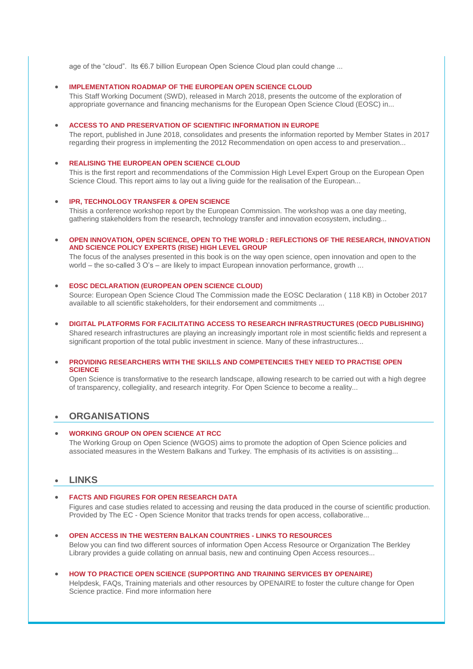age of the "cloud". Its €6.7 billion European Open Science Cloud plan could change ...

### **[IMPLEMENTATION ROADMAP OF THE EUROPEAN OPEN SCIENCE CLOUD](https://wbc-rti.info/object/document/17901)**

This Staff Working Document (SWD), released in March 2018, presents the outcome of the exploration of appropriate governance and financing mechanisms for the European Open Science Cloud (EOSC) in...

#### **[ACCESS TO AND PRESERVATION OF SCIENTIFIC INFORMATION IN EUROPE](https://wbc-rti.info/object/document/17900)**

The report, published in June 2018, consolidates and presents the information reported by Member States in 2017 regarding their progress in implementing the 2012 Recommendation on open access to and preservation...

# **[REALISING THE EUROPEAN OPEN SCIENCE CLOUD](https://wbc-rti.info/object/document/17898)**

This is the first report and recommendations of the Commission High Level Expert Group on the European Open Science Cloud. This report aims to lay out a living guide for the realisation of the European...

#### **[IPR, TECHNOLOGY TRANSFER & OPEN SCIENCE](https://wbc-rti.info/object/document/17897)**

Thisis a conference workshop report by the European Commission. The workshop was a one day meeting, gathering stakeholders from the research, technology transfer and innovation ecosystem, including...

# **[OPEN INNOVATION, OPEN SCIENCE, OPEN TO THE WORLD : REFLECTIONS OF THE RESEARCH, INNOVATION](https://wbc-rti.info/object/document/16701)  [AND SCIENCE POLICY EXPERTS \(RISE\) HIGH LEVEL GROUP](https://wbc-rti.info/object/document/16701)**

The focus of the analyses presented in this book is on the way open science, open innovation and open to the world – the so-called 3 O's – are likely to impact European innovation performance, growth ...

## **[EOSC DECLARATION \(EUROPEAN OPEN SCIENCE CLOUD\)](https://wbc-rti.info/object/document/16700)**

Source: European Open Science Cloud The Commission made the EOSC Declaration ( 118 KB) in October 2017 available to all scientific stakeholders, for their endorsement and commitments ...

#### **[DIGITAL PLATFORMS FOR FACILITATING ACCESS TO RESEARCH INFRASTRUCTURES \(OECD PUBLISHING\)](https://wbc-rti.info/object/document/16699)**

Shared research infrastructures are playing an increasingly important role in most scientific fields and represent a significant proportion of the total public investment in science. Many of these infrastructures...

## **[PROVIDING RESEARCHERS WITH THE SKILLS AND COMPETENCIES THEY NEED TO PRACTISE OPEN](https://wbc-rti.info/object/document/16441)  [SCIENCE](https://wbc-rti.info/object/document/16441)**

Open Science is transformative to the research landscape, allowing research to be carried out with a high degree of transparency, collegiality, and research integrity. For Open Science to become a reality...

# **ORGANISATIONS**

# **[WORKING GROUP ON OPEN SCIENCE AT RCC](https://wbc-rti.info/object/organisation/17851)**

The Working Group on Open Science (WGOS) aims to promote the adoption of Open Science policies and associated measures in the Western Balkans and Turkey. The emphasis of its activities is on assisting...

# **LINKS**

## **[FACTS AND FIGURES FOR OPEN RESEARCH DATA](https://wbc-rti.info/object/link/19568)**

Figures and case studies related to accessing and reusing the data produced in the course of scientific production. Provided by The EC - Open Science Monitor that tracks trends for open access, collaborative...

- **[OPEN ACCESS IN THE WESTERN BALKAN COUNTRIES -](https://wbc-rti.info/object/link/18021) LINKS TO RESOURCES** Below you can find two different sources of information Open Access Resource or Organization The Berkley Library provides a guide collating on annual basis, new and continuing Open Access resources...
- **[HOW TO PRACTICE OPEN SCIENCE \(SUPPORTING AND TRAINING SERVICES BY OPENAIRE\)](https://wbc-rti.info/object/link/18020)** Helpdesk, FAQs, Training materials and other resources by OPENAIRE to foster the culture change for Open Science practice. Find more information here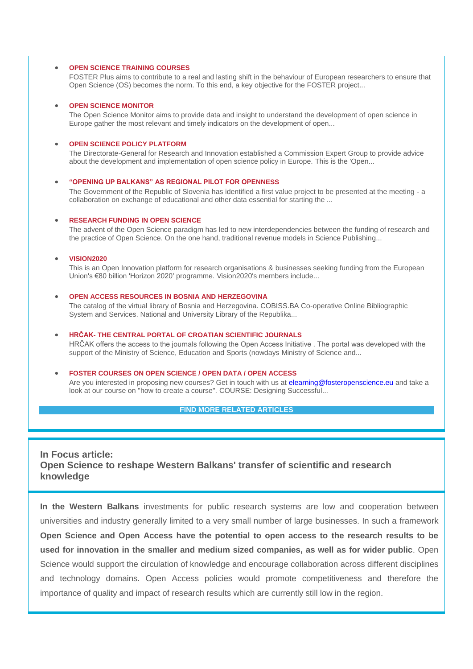## **[OPEN SCIENCE TRAINING COURSES](https://wbc-rti.info/object/link/18014)**

FOSTER Plus aims to contribute to a real and lasting shift in the behaviour of European researchers to ensure that Open Science (OS) becomes the norm. To this end, a key objective for the FOSTER project...

#### **[OPEN SCIENCE MONITOR](https://wbc-rti.info/object/link/17963)**

The Open Science Monitor aims to provide data and insight to understand the development of open science in Europe gather the most relevant and timely indicators on the development of open...

## **[OPEN SCIENCE POLICY PLATFORM](https://wbc-rti.info/object/link/17961)**

The Directorate-General for Research and Innovation established a Commission Expert Group to provide advice about the development and implementation of open science policy in Europe. This is the 'Open...

#### **["OPENING UP BALKANS" AS REGIONAL PILOT FOR OPENNESS](https://wbc-rti.info/object/link/17957)**

The Government of the Republic of Slovenia has identified a first value project to be presented at the meeting - a collaboration on exchange of educational and other data essential for starting the ...

#### **[RESEARCH FUNDING IN OPEN SCIENCE](https://wbc-rti.info/object/link/17955)**

The advent of the Open Science paradigm has led to new interdependencies between the funding of research and the practice of Open Science. On the one hand, traditional revenue models in Science Publishing...

# **[VISION2020](https://wbc-rti.info/object/link/17907)**

This is an Open Innovation platform for research organisations & businesses seeking funding from the European Union's €80 billion 'Horizon 2020' programme. Vision2020's members include...

#### **[OPEN ACCESS RESOURCES IN BOSNIA AND HERZEGOVINA](https://wbc-rti.info/object/link/17863)**

The catalog of the virtual library of Bosnia and Herzegovina. COBISS.BA Co-operative Online Bibliographic System and Services. National and University Library of the Republika...

# **HRČAK- [THE CENTRAL PORTAL OF CROATIAN SCIENTIFIC JOURNALS](https://wbc-rti.info/object/link/17852)**

HRČAK offers the access to the journals following the Open Access Initiative . The portal was developed with the support of the Ministry of Science, Education and Sports (nowdays Ministry of Science and...

# **[FOSTER COURSES ON OPEN SCIENCE / OPEN DATA / OPEN ACCESS](https://wbc-rti.info/object/link/16697)**

Are you interested in proposing new courses? Get in touch with us at [elearning@fosteropenscience.eu](mailto:elearning@fosteropenscience.eu) and take a look at our course on "how to create a course". COURSE: Designing Successful...

# **[FIND MORE RELATED ARTICLES](https://wbc-rti.info/theme/43)**

**In Focus article: Open Science to reshape Western Balkans' transfer of scientific and research knowledge**

**In the Western Balkans** investments for public research systems are low and cooperation between universities and industry generally limited to a very small number of large businesses. In such a framework **Open Science and Open Access have the potential to open access to the research results to be used for innovation in the smaller and medium sized companies, as well as for wider public**. Open Science would support the circulation of knowledge and encourage collaboration across different disciplines and technology domains. Open Access policies would promote competitiveness and therefore the importance of quality and impact of research results which are currently still low in the region.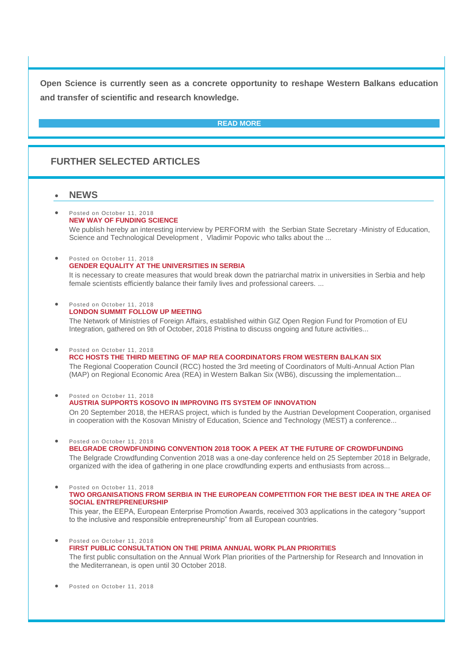**Open Science is currently seen as a concrete opportunity to reshape Western Balkans education and transfer of scientific and research knowledge.**

# **[READ MORE](https://wbc-rti.info/in_focus)**

# **FURTHER SELECTED ARTICLES**

# **NEWS**

#### Posted on October 11, 2018 **[NEW WAY OF FUNDING SCIENCE](https://wbc-rti.info/object/news/18002)**

We publish hereby an interesting interview by PERFORM with the Serbian State Secretary -Ministry of Education, Science and Technological Development , Vladimir Popovic who talks about the ...

#### Posted on October 11, 2018 **[GENDER EQUALITY AT THE UNIVERSITIES IN SERBIA](https://wbc-rti.info/object/news/18000)**

It is necessary to create measures that would break down the patriarchal matrix in universities in Serbia and help female scientists efficiently balance their family lives and professional careers. ...

Posted on October 11, 2018

## **[LONDON SUMMIT FOLLOW](https://wbc-rti.info/object/news/17999) UP MEETING**

The Network of Ministries of Foreign Affairs, established within GIZ Open Region Fund for Promotion of EU Integration, gathered on 9th of October, 2018 Pristina to discuss ongoing and future activities...

Posted on October 11, 2018

# **[RCC HOSTS THE THIRD MEETING OF MAP REA COORDINATORS FROM WESTERN BALKAN SIX](https://wbc-rti.info/object/news/17998)**

The Regional Cooperation Council (RCC) hosted the 3rd meeting of Coordinators of Multi-Annual Action Plan (MAP) on Regional Economic Area (REA) in Western Balkan Six (WB6), discussing the implementation...

#### Posted on October 11, 2018 **[AUSTRIA SUPPORTS KOSOVO IN IMPROVING ITS SYSTEM OF INNOVATION](https://wbc-rti.info/object/news/17995)** On 20 September 2018, the HERAS project, which is funded by the Austrian Development Cooperation, organised in cooperation with the Kosovan Ministry of Education, Science and Technology (MEST) a conference...

#### Posted on October 11, 2018 **[BELGRADE CROWDFUNDING CONVENTION 2018 TOOK A PEEK AT THE FUTURE OF CROWDFUNDING](https://wbc-rti.info/object/news/17992)**

The Belgrade Crowdfunding Convention 2018 was a one-day conference held on 25 September 2018 in Belgrade, organized with the idea of gathering in one place crowdfunding experts and enthusiasts from across...

 Posted on October 11, 2018 **[TWO ORGANISATIONS FROM SERBIA IN THE EUROPEAN COMPETITION FOR THE BEST IDEA IN THE AREA OF](https://wbc-rti.info/object/news/17991)  [SOCIAL ENTREPRENEURSHIP](https://wbc-rti.info/object/news/17991)**

This year, the EEPA, European Enterprise Promotion Awards, received 303 applications in the category "support to the inclusive and responsible entrepreneurship" from all European countries.

- Posted on October 11, 2018 **[FIRST PUBLIC CONSULTATION ON THE PRIMA ANNUAL WORK PLAN PRIORITIES](https://wbc-rti.info/object/news/17979)** The first public consultation on the Annual Work Plan priorities of the Partnership for Research and Innovation in the Mediterranean, is open until 30 October 2018.
- Posted on October 11, 2018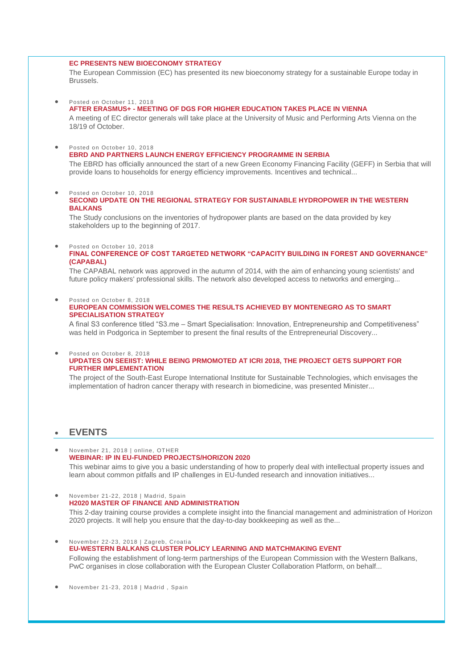#### **[EC PRESENTS NEW BIOECONOMY STRATEGY](https://wbc-rti.info/object/news/17977)**

The European Commission (EC) has presented its new bioeconomy strategy for a sustainable Europe today in Brussels.

- Posted on October 11, 2018 **AFTER ERASMUS+ - [MEETING OF DGS FOR HIGHER EDUCATION TAKES PLACE IN VIENNA](https://wbc-rti.info/object/news/17948)** A meeting of EC director generals will take place at the University of Music and Performing Arts Vienna on the 18/19 of October.
	- Posted on October 10, 2018

**[EBRD AND PARTNERS LAUNCH ENERGY EFFICIENCY PROGRAMME IN SERBIA](https://wbc-rti.info/object/news/17921)**

The EBRD has officially announced the start of a new Green Economy Financing Facility (GEFF) in Serbia that will provide loans to households for energy efficiency improvements. Incentives and technical...

 Posted on October 10, 2018 **[SECOND UPDATE ON THE REGIONAL STRATEGY FOR SUSTAINABLE HYDROPOWER IN THE WESTERN](https://wbc-rti.info/object/news/17920)  [BALKANS](https://wbc-rti.info/object/news/17920)**

The Study conclusions on the inventories of hydropower plants are based on the data provided by key stakeholders up to the beginning of 2017.

 Posted on October 10, 2018 **[FINAL CONFERENCE OF COST TARGETED NETWORK "CAPACITY BUILDING IN FOREST AND GOVERNANCE"](https://wbc-rti.info/object/news/17919)  [\(CAPABAL\)](https://wbc-rti.info/object/news/17919)**

The CAPABAL network was approved in the autumn of 2014, with the aim of enhancing young scientists' and future policy makers' professional skills. The network also developed access to networks and emerging...

 Posted on October 8, 2018 **[EUROPEAN COMMISSION WELCOMES THE RESULTS ACHIEVED BY MONTENEGRO AS TO SMART](https://wbc-rti.info/object/news/17869)  [SPECIALISATION STRATEGY](https://wbc-rti.info/object/news/17869)**

A final S3 conference titled "S3.me – Smart Specialisation: Innovation, Entrepreneurship and Competitiveness" was held in Podgorica in September to present the final results of the Entrepreneurial Discovery...

Posted on October 8, 2018

# **[UPDATES ON SEEIIST: WHILE BEING PRMOMOTED AT ICRI 2018, THE PROJECT GETS SUPPORT FOR](https://wbc-rti.info/object/news/17867)  [FURTHER IMPLEMENTATION](https://wbc-rti.info/object/news/17867)**

The project of the South-East Europe International Institute for Sustainable Technologies, which envisages the implementation of hadron cancer therapy with research in biomedicine, was presented Minister...

# **EVENTS**

- November 21, 2018 | online, OTHER **[WEBINAR: IP IN EU-FUNDED PROJECTS/HORIZON 2020](https://wbc-rti.info/object/event/17218)** This webinar aims to give you a basic understanding of how to properly deal with intellectual property issues and learn about common pitfalls and IP challenges in EU-funded research and innovation initiatives...
- November 21-22, 2018 | Madrid, Spain **[H2020 MASTER OF FINANCE AND ADMINISTRATION](https://wbc-rti.info/object/event/17321)**  This 2-day training course provides a complete insight into the financial management and administration of Horizon 2020 projects. It will help you ensure that the day-to-day bookkeeping as well as the...
- November 22-23, 2018 | Zagreb, Croatia **[EU-WESTERN BALKANS CLUSTER POLICY LEARNING AND MATCHMAKING EVENT](https://wbc-rti.info/object/event/17389)** Following the establishment of long-term partnerships of the European Commission with the Western Balkans, PwC organises in close collaboration with the European Cluster Collaboration Platform, on behalf...

November 21-23, 2018 | Madrid , Spain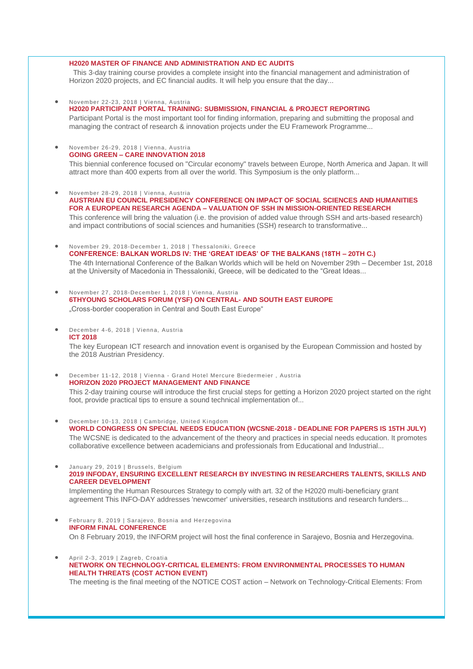#### **[H2020 MASTER OF FINANCE AND ADMINISTRATION AND EC AUDITS](https://wbc-rti.info/object/event/17320)**

This 3-day training course provides a complete insight into the financial management and administration of Horizon 2020 projects, and EC financial audits. It will help you ensure that the day...

- November 22-23, 2018 | Vienna, Austria **[H2020 PARTICIPANT PORTAL TRAINING: SUBMISSION, FINANCIAL & PROJECT REPORTING](https://wbc-rti.info/object/event/17308)** Participant Portal is the most important tool for finding information, preparing and submitting the proposal and managing the contract of research & innovation projects under the EU Framework Programme...
- November 26-29, 2018 | Vienna, Austria **GOING GREEN – [CARE INNOVATION 2018](https://wbc-rti.info/object/event/17098)** This biennial conference focused on "Circular economy" travels between Europe, North America and Japan. It will attract more than 400 experts from all over the world. This Symposium is the only platform...
- November 28-29, 2018 | Vienna, Austria **[AUSTRIAN EU COUNCIL PRESIDENCY CONFERENCE ON IMPACT OF SOCIAL SCIENCES AND HUMANITIES](https://wbc-rti.info/object/event/17079)  FOR A EUROPEAN RESEARCH AGENDA – [VALUATION OF SSH IN MISSION-ORIENTED RESEARCH](https://wbc-rti.info/object/event/17079)** This conference will bring the valuation (i.e. the provision of added value through SSH and arts-based research) and impact contributions of social sciences and humanities (SSH) research to transformative...
- November 29, 2018-December 1, 2018 | Thessaloniki, Greece **[CONFERENCE: BALKAN WORLDS IV: THE 'GREAT IDEAS' OF THE BALKANS \(18TH –](https://wbc-rti.info/object/event/17156) 20TH C.)** The 4th International Conference of the Balkan Worlds which will be held on November 29th – December 1st, 2018 at the University of Macedonia in Thessaloniki, Greece, will be dedicated to the "Great Ideas...
- November 27, 2018-December 1, 2018 | Vienna, Austria **[6THYOUNG SCHOLARS FORUM \(YSF\) ON CENTRAL-](https://wbc-rti.info/object/event/17190) AND SOUTH EAST EUROPE** "Cross-border cooperation in Central and South East Europe"
- December 4-6, 2018 | Vienna, Austria **[ICT 2018](https://wbc-rti.info/object/event/16977)**

The key European ICT research and innovation event is organised by the European Commission and hosted by the 2018 Austrian Presidency.

 December 11-12, 2018 | Vienna - Grand Hotel Mercure Biedermeier , Austria **[HORIZON 2020 PROJECT MANAGEMENT AND FINANCE](https://wbc-rti.info/object/event/17322)**

This 2-day training course will introduce the first crucial steps for getting a Horizon 2020 project started on the right foot, provide practical tips to ensure a sound technical implementation of...

- December 10-13, 2018 | Cambridge, United Kingdom **[WORLD CONGRESS ON SPECIAL NEEDS EDUCATION \(WCSNE-2018 -](https://wbc-rti.info/object/event/17021) DEADLINE FOR PAPERS IS 15TH JULY)** The WCSNE is dedicated to the advancement of the theory and practices in special needs education. It promotes collaborative excellence between academicians and professionals from Educational and Industrial...
- January 29, 2019 | Brussels, Belgium **[2019 INFODAY, ENSURING EXCELLENT RESEARCH BY INVESTING IN RESEARCHERS TALENTS, SKILLS AND](https://wbc-rti.info/object/event/17899)  [CAREER DEVELOPMENT](https://wbc-rti.info/object/event/17899)**

Implementing the Human Resources Strategy to comply with art. 32 of the H2020 multi-beneficiary grant agreement This INFO-DAY addresses 'newcomer' universities, research institutions and research funders...

- February 8, 2019 | Sarajevo, Bosnia and Herzegovina **[INFORM FINAL CONFERENCE](https://wbc-rti.info/object/event/17478)** On 8 February 2019, the INFORM project will host the final conference in Sarajevo, Bosnia and Herzegovina.
- April 2-3, 2019 | Zagreb, Croatia **[NETWORK ON TECHNOLOGY-CRITICAL ELEMENTS: FROM ENVIRONMENTAL PROCESSES TO HUMAN](https://wbc-rti.info/object/event/17917)  [HEALTH THREATS \(COST ACTION EVENT\)](https://wbc-rti.info/object/event/17917)** The meeting is the final meeting of the NOTICE COST action – Network on Technology-Critical Elements: From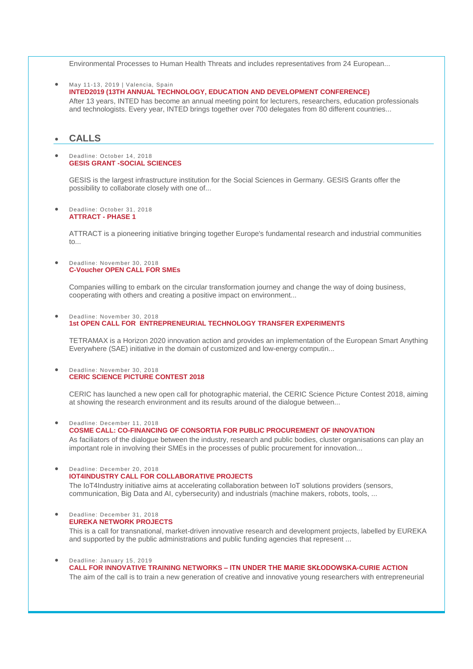Environmental Processes to Human Health Threats and includes representatives from 24 European...

 May 11-13, 2019 | Valencia, Spain **[INTED2019 \(13TH ANNUAL TECHNOLOGY, EDUCATION AND DEVELOPMENT CONFERENCE\)](https://wbc-rti.info/object/event/17495)** 

After 13 years, INTED has become an annual meeting point for lecturers, researchers, education professionals and technologists. Every year, INTED brings together over 700 delegates from 80 different countries...

# **CALLS**

#### Deadline: October 14, 2018 **[GESIS GRANT -SOCIAL SCIENCES](https://wbc-rti.info/object/call/18016)**

GESIS is the largest infrastructure institution for the Social Sciences in Germany. GESIS Grants offer the possibility to collaborate closely with one of...

#### Deadline: October 31, 2018 **[ATTRACT -](https://wbc-rti.info/object/call/17985) PHASE 1**

ATTRACT is a pioneering initiative bringing together Europe's fundamental research and industrial communities to...

#### Deadline: November 30, 2018 **[C-Voucher OPEN CALL FOR SMEs](https://wbc-rti.info/object/call/17983)**

Companies willing to embark on the circular transformation journey and change the way of doing business, cooperating with others and creating a positive impact on environment...

#### Deadline: November 30, 2018 **1st OPEN CALL FOR [ENTREPRENEURIAL TECHNOLOGY TRANSFER EXPERIMENTS](https://wbc-rti.info/object/call/17984)**

TETRAMAX is a Horizon 2020 innovation action and provides an implementation of the European Smart Anything Everywhere (SAE) initiative in the domain of customized and low-energy computin...

#### Deadline: November 30, 2018 **[CERIC SCIENCE PICTURE CONTEST 2018](https://wbc-rti.info/object/call/17996)**

CERIC has launched a new open call for photographic material, the CERIC Science Picture Contest 2018, aiming at showing the research environment and its results around of the dialogue between...

Deadline: December 11, 2018

## **[COSME CALL: CO-FINANCING OF CONSORTIA FOR PUBLIC PROCUREMENT OF INNOVATION](https://wbc-rti.info/object/call/17509)**

As faciliators of the dialogue between the industry, research and public bodies, cluster organisations can play an important role in involving their SMEs in the processes of public procurement for innovation...

### Deadline: December 20, 2018 **[IOT4INDUSTRY CALL FOR COLLABORATIVE PROJECTS](https://wbc-rti.info/object/call/17502)** The IoT4Industry initiative aims at accelerating collaboration between IoT solutions providers (sensors, communication, Big Data and AI, cybersecurity) and industrials (machine makers, robots, tools, ...

 Deadline: December 31, 2018 **[EUREKA NETWORK PROJECTS](https://wbc-rti.info/object/call/16978)**

This is a call for transnational, market-driven innovative research and development projects, labelled by EUREKA and supported by the public administrations and public funding agencies that represent ...

# Deadline: January 15, 2019

# **CALL FOR INNOVATIVE TRAINING NETWORKS – [ITN UNDER THE MARIE SKŁODOWSKA-CURIE ACTION](https://wbc-rti.info/object/call/17870)**

The aim of the call is to train a new generation of creative and innovative young researchers with entrepreneurial